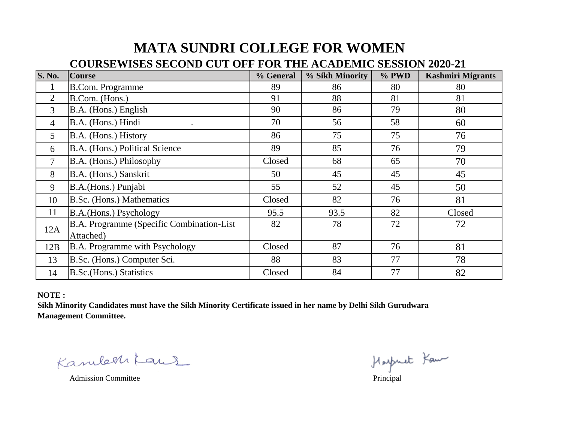## **MATA SUNDRI COLLEGE FOR WOMEN**

## **COURSEWISES SECOND CUT OFF FOR THE ACADEMIC SESSION 2020-21**

| <b>S. No.</b>  | <b>Course</b>                              | % General | % Sikh Minority | % PWD | <b>Kashmiri Migrants</b> |
|----------------|--------------------------------------------|-----------|-----------------|-------|--------------------------|
| $\bf{l}$       | <b>B.Com. Programme</b>                    | 89        | 86              | 80    | 80                       |
| 2              | B.Com. (Hons.)                             | 91        | 88              | 81    | 81                       |
| 3              | B.A. (Hons.) English                       | 90        | 86              | 79    | 80                       |
| $\overline{4}$ | B.A. (Hons.) Hindi                         | 70        | 56              | 58    | 60                       |
| 5              | B.A. (Hons.) History                       | 86        | 75              | 75    | 76                       |
| 6              | B.A. (Hons.) Political Science             | 89        | 85              | 76    | 79                       |
| $\overline{7}$ | B.A. (Hons.) Philosophy                    | Closed    | 68              | 65    | 70                       |
| 8              | B.A. (Hons.) Sanskrit                      | 50        | 45              | 45    | 45                       |
| 9              | B.A.(Hons.) Punjabi                        | 55        | 52              | 45    | 50                       |
| 10             | B.Sc. (Hons.) Mathematics                  | Closed    | 82              | 76    | 81                       |
| 11             | B.A.(Hons.) Psychology                     | 95.5      | 93.5            | 82    | Closed                   |
| 12A            | B.A. Programme (Specific Combination-List) | 82        | 78              | 72    | 72                       |
|                | Attached)                                  |           |                 |       |                          |
| 12B            | B.A. Programme with Psychology             | Closed    | 87              | 76    | 81                       |
| 13             | B.Sc. (Hons.) Computer Sci.                | 88        | 83              | 77    | 78                       |
| 14             | <b>B.Sc.</b> (Hons.) Statistics            | Closed    | 84              | 77    | 82                       |

**NOTE :** 

**Sikh Minority Candidates must have the Sikh Minority Certificate issued in her name by Delhi Sikh Gurudwara Management Committee.**

amle 21 Kaus Hospiet Four<br>Admission Committee Principal Kambertaus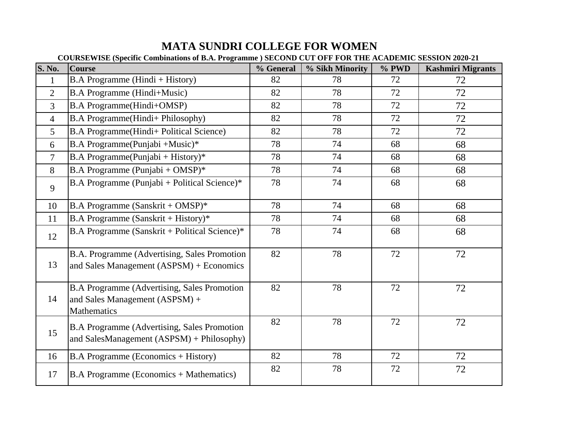## **MATA SUNDRI COLLEGE FOR WOMEN**

|                | COURSEWISE (Specific Combinations of B.A. Programme) SECOND CUT OFF FOR THE ACADEMIC SESSION 2020-21       |           |                 |       |                          |  |
|----------------|------------------------------------------------------------------------------------------------------------|-----------|-----------------|-------|--------------------------|--|
| <b>S. No.</b>  | <b>Course</b>                                                                                              | % General | % Sikh Minority | % PWD | <b>Kashmiri Migrants</b> |  |
| $\mathbf{1}$   | $B.A$ Programme (Hindi + History)                                                                          | 82        | 78              | 72    | 72                       |  |
| $\overline{2}$ | <b>B.A Programme (Hindi+Music)</b>                                                                         | 82        | 78              | 72    | 72                       |  |
| $\overline{3}$ | <b>B.A Programme(Hindi+OMSP)</b>                                                                           | 82        | 78              | 72    | 72                       |  |
| $\overline{4}$ | B.A Programme(Hindi+ Philosophy)                                                                           | 82        | 78              | 72    | 72                       |  |
| $\overline{5}$ | B.A Programme(Hindi+ Political Science)                                                                    | 82        | 78              | 72    | 72                       |  |
| 6              | B.A Programme(Punjabi +Music)*                                                                             | 78        | 74              | 68    | 68                       |  |
| $\tau$         | <b>B.A Programme</b> (Punjabi + History)*                                                                  | 78        | 74              | 68    | 68                       |  |
| 8              | B.A Programme (Punjabi + OMSP) $*$                                                                         | 78        | 74              | 68    | 68                       |  |
| 9              | B.A Programme (Punjabi + Political Science)*                                                               | 78        | 74              | 68    | 68                       |  |
| 10             | B.A Programme (Sanskrit + OMSP) $*$                                                                        | 78        | 74              | 68    | 68                       |  |
| 11             | B.A Programme (Sanskrit + History)*                                                                        | 78        | 74              | 68    | 68                       |  |
| 12             | B.A Programme (Sanskrit + Political Science)*                                                              | 78        | 74              | 68    | 68                       |  |
| 13             | B.A. Programme (Advertising, Sales Promotion<br>and Sales Management (ASPSM) + Economics                   | 82        | 78              | 72    | 72                       |  |
| 14             | <b>B.A Programme (Advertising, Sales Promotion</b><br>and Sales Management (ASPSM) +<br><b>Mathematics</b> | 82        | 78              | 72    | 72                       |  |
| 15             | <b>B.A Programme (Advertising, Sales Promotion)</b><br>and SalesManagement (ASPSM) + Philosophy)           | 82        | 78              | 72    | 72                       |  |
| 16             | <b>B.A Programme (Economics + History)</b>                                                                 | 82        | 78              | 72    | 72                       |  |
| 17             | <b>B.A Programme (Economics + Mathematics)</b>                                                             | 82        | 78              | 72    | 72                       |  |